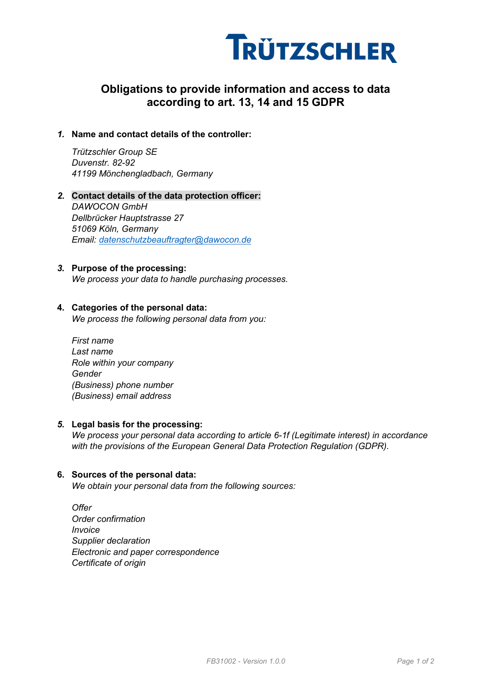

# Obligations to provide information and access to data according to art. 13, 14 and 15 GDPR

## 1. Name and contact details of the controller:

Trützschler Group SE Duvenstr. 82-92 41199 Mönchengladbach, Germany

2. Contact details of the data protection officer: DAWOCON GmbH Dellbrücker Hauptstrasse 27 51069 Köln, Germany Email: datenschutzbeauftragter@dawocon.de

#### 3. Purpose of the processing:

We process your data to handle purchasing processes.

#### 4. Categories of the personal data:

We process the following personal data from you:

First name Last name Role within your company Gender (Business) phone number (Business) email address

#### 5. Legal basis for the processing:

We process your personal data according to article 6-1f (Legitimate interest) in accordance with the provisions of the European General Data Protection Regulation (GDPR).

#### 6. Sources of the personal data:

We obtain your personal data from the following sources:

**Offer** Order confirmation Invoice Supplier declaration Electronic and paper correspondence Certificate of origin